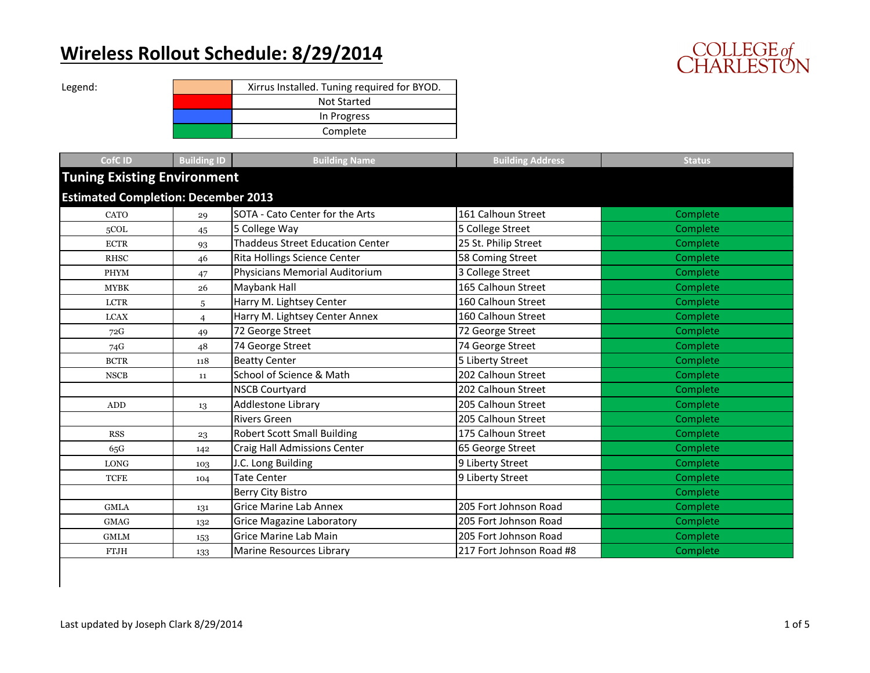## **Wireless Rollout Schedule: 8/29/2014**



| Legend: | Xirrus Installed. Tuning required for BYOD. |
|---------|---------------------------------------------|
|         | <b>Not Started</b>                          |
|         | In Progress                                 |
|         | Complete                                    |

| <b>CofCID</b>                              | <b>Building ID</b>                 | <b>Building Name</b>                    | <b>Building Address</b>  | <b>Status</b>   |  |  |  |
|--------------------------------------------|------------------------------------|-----------------------------------------|--------------------------|-----------------|--|--|--|
|                                            | <b>Tuning Existing Environment</b> |                                         |                          |                 |  |  |  |
| <b>Estimated Completion: December 2013</b> |                                    |                                         |                          |                 |  |  |  |
| CATO                                       | 29                                 | SOTA - Cato Center for the Arts         | 161 Calhoun Street       | Complete        |  |  |  |
| 5COL                                       | 45                                 | 5 College Way                           | 5 College Street         | Complete        |  |  |  |
| <b>ECTR</b>                                | 93                                 | <b>Thaddeus Street Education Center</b> | 25 St. Philip Street     | Complete        |  |  |  |
| <b>RHSC</b>                                | 46                                 | Rita Hollings Science Center            | 58 Coming Street         | Complete        |  |  |  |
| <b>PHYM</b>                                | 47                                 | Physicians Memorial Auditorium          | 3 College Street         | Complete        |  |  |  |
| <b>MYBK</b>                                | 26                                 | Maybank Hall                            | 165 Calhoun Street       | <b>Complete</b> |  |  |  |
| <b>LCTR</b>                                | 5                                  | Harry M. Lightsey Center                | 160 Calhoun Street       | Complete        |  |  |  |
| <b>LCAX</b>                                | $\overline{4}$                     | Harry M. Lightsey Center Annex          | 160 Calhoun Street       | Complete        |  |  |  |
| 72G                                        | 49                                 | 72 George Street                        | 72 George Street         | Complete        |  |  |  |
| 74G                                        | 48                                 | 74 George Street                        | 74 George Street         | Complete        |  |  |  |
| <b>BCTR</b>                                | 118                                | <b>Beatty Center</b>                    | 5 Liberty Street         | Complete        |  |  |  |
| <b>NSCB</b>                                | 11                                 | School of Science & Math                | 202 Calhoun Street       | Complete        |  |  |  |
|                                            |                                    | <b>NSCB Courtyard</b>                   | 202 Calhoun Street       | Complete        |  |  |  |
| $\mbox{\rm ADD}$                           | 13                                 | <b>Addlestone Library</b>               | 205 Calhoun Street       | Complete        |  |  |  |
|                                            |                                    | <b>Rivers Green</b>                     | 205 Calhoun Street       | Complete        |  |  |  |
| <b>RSS</b>                                 | 23                                 | <b>Robert Scott Small Building</b>      | 175 Calhoun Street       | Complete        |  |  |  |
| 65G                                        | 142                                | Craig Hall Admissions Center            | 65 George Street         | Complete        |  |  |  |
| <b>LONG</b>                                | 103                                | J.C. Long Building                      | 9 Liberty Street         | Complete        |  |  |  |
| <b>TCFE</b>                                | 104                                | <b>Tate Center</b>                      | 9 Liberty Street         | Complete        |  |  |  |
|                                            |                                    | Berry City Bistro                       |                          | Complete        |  |  |  |
| <b>GMLA</b>                                | 131                                | <b>Grice Marine Lab Annex</b>           | 205 Fort Johnson Road    | Complete        |  |  |  |
| <b>GMAG</b>                                | 132                                | <b>Grice Magazine Laboratory</b>        | 205 Fort Johnson Road    | Complete        |  |  |  |
| <b>GMLM</b>                                | 153                                | <b>Grice Marine Lab Main</b>            | 205 Fort Johnson Road    | Complete        |  |  |  |
| <b>FTJH</b>                                | 133                                | <b>Marine Resources Library</b>         | 217 Fort Johnson Road #8 | Complete        |  |  |  |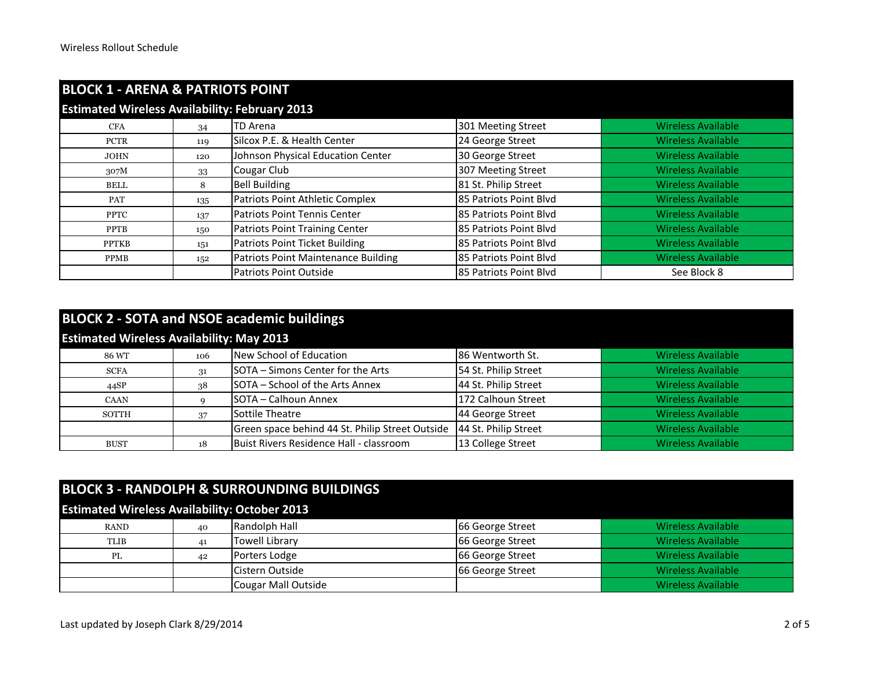| <b>BLOCK 1 - ARENA &amp; PATRIOTS POINT</b>           |     |                                            |                        |                           |  |
|-------------------------------------------------------|-----|--------------------------------------------|------------------------|---------------------------|--|
| <b>Estimated Wireless Availability: February 2013</b> |     |                                            |                        |                           |  |
| <b>CFA</b>                                            | 34  | <b>TD</b> Arena                            | 301 Meeting Street     | <b>Wireless Available</b> |  |
| <b>PCTR</b>                                           | 119 | Silcox P.E. & Health Center                | 24 George Street       | <b>Wireless Available</b> |  |
| <b>JOHN</b>                                           | 120 | Johnson Physical Education Center          | 30 George Street       | <b>Wireless Available</b> |  |
| 307M                                                  | 33  | Cougar Club                                | 307 Meeting Street     | <b>Wireless Available</b> |  |
| <b>BELL</b>                                           | 8   | <b>Bell Building</b>                       | 81 St. Philip Street   | <b>Wireless Available</b> |  |
| PAT                                                   | 135 | Patriots Point Athletic Complex            | 85 Patriots Point Blvd | <b>Wireless Available</b> |  |
| <b>PPTC</b>                                           | 137 | <b>Patriots Point Tennis Center</b>        | 85 Patriots Point Blvd | <b>Wireless Available</b> |  |
| <b>PPTB</b>                                           | 150 | Patriots Point Training Center             | 85 Patriots Point Blvd | <b>Wireless Available</b> |  |
| <b>PPTKB</b>                                          | 151 | Patriots Point Ticket Building             | 85 Patriots Point Blvd | <b>Wireless Available</b> |  |
| <b>PPMB</b>                                           | 152 | <b>Patriots Point Maintenance Building</b> | 85 Patriots Point Blvd | <b>Wireless Available</b> |  |
|                                                       |     | <b>Patriots Point Outside</b>              | 85 Patriots Point Blvd | See Block 8               |  |

| <b>BLOCK 2 - SOTA and NSOE academic buildings</b> |     |                                                 |                      |                           |  |
|---------------------------------------------------|-----|-------------------------------------------------|----------------------|---------------------------|--|
| <b>Estimated Wireless Availability: May 2013</b>  |     |                                                 |                      |                           |  |
| 86 WT                                             | 106 | New School of Education                         | 86 Wentworth St.     | <b>Wireless Available</b> |  |
| <b>SCFA</b>                                       | 31  | SOTA – Simons Center for the Arts               | 54 St. Philip Street | <b>Wireless Available</b> |  |
| 44SP                                              | 38  | SOTA – School of the Arts Annex                 | 44 St. Philip Street | <b>Wireless Available</b> |  |
| <b>CAAN</b>                                       |     | SOTA - Calhoun Annex                            | 172 Calhoun Street   | <b>Wireless Available</b> |  |
| <b>SOTTH</b>                                      | 37  | Sottile Theatre                                 | 44 George Street     | <b>Wireless Available</b> |  |
|                                                   |     | Green space behind 44 St. Philip Street Outside | 44 St. Philip Street | <b>Wireless Available</b> |  |
| <b>BUST</b>                                       | 18  | Buist Rivers Residence Hall - classroom         | 13 College Street    | <b>Wireless Available</b> |  |

| <b>Estimated Wireless Availability: October 2013</b> |
|------------------------------------------------------|

| RAND        | 40 | Randolph Hall       | 66 George Street | Wireless Available        |
|-------------|----|---------------------|------------------|---------------------------|
| <b>TLIB</b> | 41 | Towell Library      | 66 George Street | Wireless Available        |
| PL          | 42 | Porters Lodge       | 66 George Street | <b>Wireless Available</b> |
|             |    | Cistern Outside     | 66 George Street | Wireless Available        |
|             |    | Cougar Mall Outside |                  | Wireless Available        |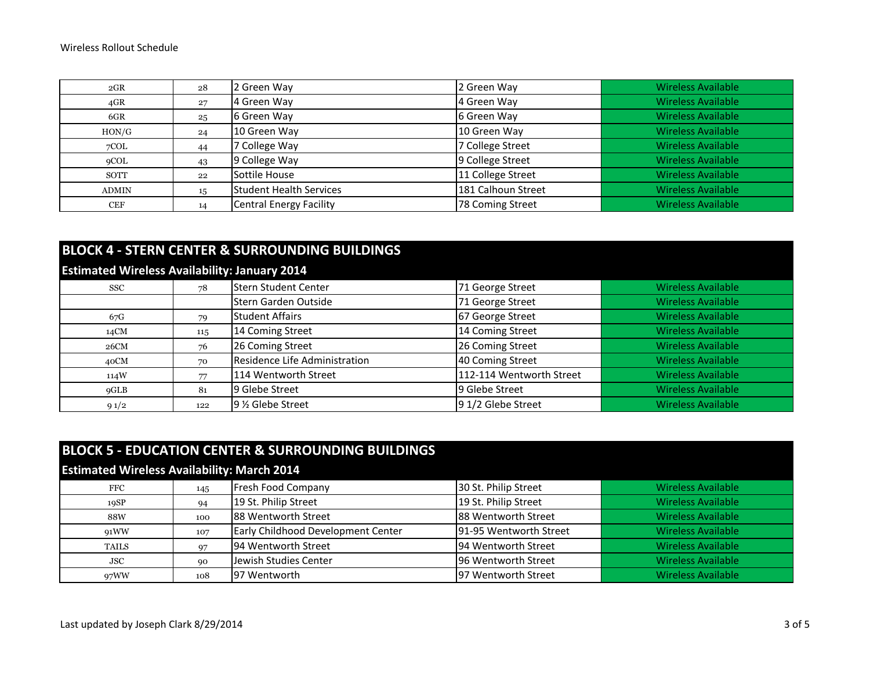| 2GR          | 28 | 2 Green Way             | 2 Green Way        | <b>Wireless Available</b> |
|--------------|----|-------------------------|--------------------|---------------------------|
| $4$ GR       | 27 | 4 Green Way             | 4 Green Way        | <b>Wireless Available</b> |
| 6GR          | 25 | 6 Green Way             | 6 Green Way        | <b>Wireless Available</b> |
| HON/G        | 24 | 10 Green Way            | 10 Green Way       | <b>Wireless Available</b> |
| 7COL         | 44 | ' College Way           | 7 College Street   | <b>Wireless Available</b> |
| 9COL         | 43 | 9 College Way           | 9 College Street   | Wireless Available        |
| SOTT         | 22 | Sottile House           | 11 College Street  | Wireless Available        |
| <b>ADMIN</b> | 15 | Student Health Services | 181 Calhoun Street | <b>Wireless Available</b> |
| <b>CEF</b>   | 14 | Central Energy Facility | 78 Coming Street   | <b>Wireless Available</b> |

|                                                      | <b>BLOCK 4 - STERN CENTER &amp; SURROUNDING BUILDINGS</b> |                               |                          |                           |  |  |
|------------------------------------------------------|-----------------------------------------------------------|-------------------------------|--------------------------|---------------------------|--|--|
| <b>Estimated Wireless Availability: January 2014</b> |                                                           |                               |                          |                           |  |  |
| SSC                                                  | 78                                                        | Stern Student Center          | 71 George Street         | <b>Wireless Available</b> |  |  |
|                                                      |                                                           | Stern Garden Outside          | 71 George Street         | <b>Wireless Available</b> |  |  |
| 67G                                                  | 79                                                        | Student Affairs               | 67 George Street         | <b>Wireless Available</b> |  |  |
| 14CM                                                 | 115                                                       | 14 Coming Street              | 14 Coming Street         | <b>Wireless Available</b> |  |  |
| 26CM                                                 | 76                                                        | 26 Coming Street              | 26 Coming Street         | <b>Wireless Available</b> |  |  |
| 40CM                                                 | 70                                                        | Residence Life Administration | 40 Coming Street         | <b>Wireless Available</b> |  |  |
| 114W                                                 | 77                                                        | 114 Wentworth Street          | 112-114 Wentworth Street | <b>Wireless Available</b> |  |  |
| 9GLB                                                 | 81                                                        | 9 Glebe Street                | 9 Glebe Street           | <b>Wireless Available</b> |  |  |
| 91/2                                                 | 122                                                       | 9 % Glebe Street              | 91/2 Glebe Street        | <b>Wireless Available</b> |  |  |

| <b>BLOCK 5 - EDUCATION CENTER &amp; SURROUNDING BUILDINGS</b> |     |                                    |                        |                           |  |
|---------------------------------------------------------------|-----|------------------------------------|------------------------|---------------------------|--|
| <b>Estimated Wireless Availability: March 2014</b>            |     |                                    |                        |                           |  |
| $_{\rm FFC}$                                                  | 145 | <b>Fresh Food Company</b>          | 30 St. Philip Street   | <b>Wireless Available</b> |  |
| 19SP                                                          | 94  | 19 St. Philip Street               | 19 St. Philip Street   | <b>Wireless Available</b> |  |
| 88W                                                           | 100 | 88 Wentworth Street                | 88 Wentworth Street    | <b>Wireless Available</b> |  |
| 91WW                                                          | 107 | Early Childhood Development Center | 91-95 Wentworth Street | <b>Wireless Available</b> |  |
| <b>TAILS</b>                                                  | 97  | 94 Wentworth Street                | 94 Wentworth Street    | <b>Wireless Available</b> |  |
| <b>JSC</b>                                                    | 90  | Jewish Studies Center              | 96 Wentworth Street    | <b>Wireless Available</b> |  |
| 97WW                                                          | 108 | 97 Wentworth                       | 97 Wentworth Street    | <b>Wireless Available</b> |  |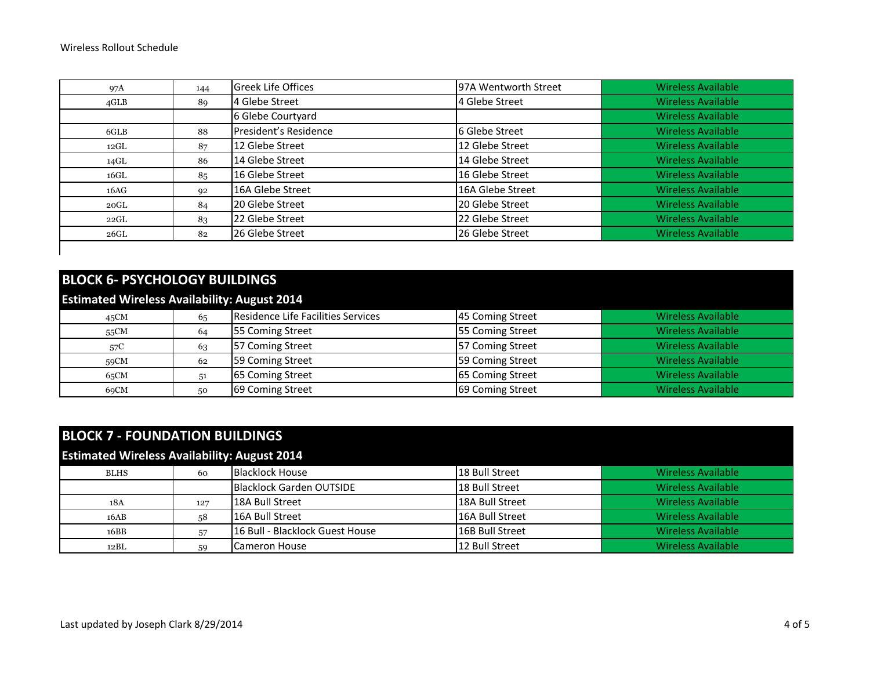| 97A             | 144 | <b>Greek Life Offices</b> | 97A Wentworth Street | <b>Wireless Available</b> |
|-----------------|-----|---------------------------|----------------------|---------------------------|
| $4\mathrm{GLB}$ | 89  | 4 Glebe Street            | 4 Glebe Street       | <b>Wireless Available</b> |
|                 |     | 6 Glebe Courtyard         |                      | <b>Wireless Available</b> |
| 6GLB            | 88  | President's Residence     | 6 Glebe Street       | <b>Wireless Available</b> |
| $12 \text{GL}$  | 87  | 12 Glebe Street           | 12 Glebe Street      | <b>Wireless Available</b> |
| 14GL            | 86  | 14 Glebe Street           | 14 Glebe Street      | <b>Wireless Available</b> |
| 16GL            | 85  | 16 Glebe Street           | 16 Glebe Street      | <b>Wireless Available</b> |
| 16AG            | 92  | 16A Glebe Street          | 16A Glebe Street     | <b>Wireless Available</b> |
| $20 \text{GL}$  | 84  | 20 Glebe Street           | 20 Glebe Street      | <b>Wireless Available</b> |
| $22 \text{GL}$  | 83  | 22 Glebe Street           | 22 Glebe Street      | <b>Wireless Available</b> |
| $26 \text{GL}$  | 82  | 26 Glebe Street           | 26 Glebe Street      | Wireless Available        |

## **BLOCK 6- PSYCHOLOGY BUILDINGS**

## **Estimated Wireless Availability: August 2014**

|      |    | .                                  |                  |                           |
|------|----|------------------------------------|------------------|---------------------------|
| 45CM | 65 | Residence Life Facilities Services | 45 Coming Street | <b>Wireless Available</b> |
| 55CM | 64 | 55 Coming Street                   | 55 Coming Street | <b>Wireless Available</b> |
| 57C  | 63 | <b>57 Coming Street</b>            | 57 Coming Street | <b>Wireless Available</b> |
| 59CM | 62 | 59 Coming Street                   | 59 Coming Street | <b>Wireless Available</b> |
| 65CM | 51 | 65 Coming Street                   | 65 Coming Street | <b>Wireless Available</b> |
| 69CM | 50 | 69 Coming Street                   | 69 Coming Street | <b>Wireless Available</b> |

| <b>BLOCK 7 - FOUNDATION BUILDINGS</b>               |     |                                 |                 |                           |  |
|-----------------------------------------------------|-----|---------------------------------|-----------------|---------------------------|--|
| <b>Estimated Wireless Availability: August 2014</b> |     |                                 |                 |                           |  |
| <b>BLHS</b>                                         | 60  | Blacklock House                 | 18 Bull Street  | <b>Wireless Available</b> |  |
|                                                     |     | Blacklock Garden OUTSIDE        | 18 Bull Street  | <b>Wireless Available</b> |  |
| 18A                                                 | 127 | 18A Bull Street                 | 18A Bull Street | <b>Wireless Available</b> |  |
| 16AB                                                | 58  | 16A Bull Street                 | 16A Bull Street | <b>Wireless Available</b> |  |
| 16BB                                                | 57  | 16 Bull - Blacklock Guest House | 16B Bull Street | <b>Wireless Available</b> |  |
| 12BL                                                | 59  | Cameron House                   | 12 Bull Street  | <b>Wireless Available</b> |  |